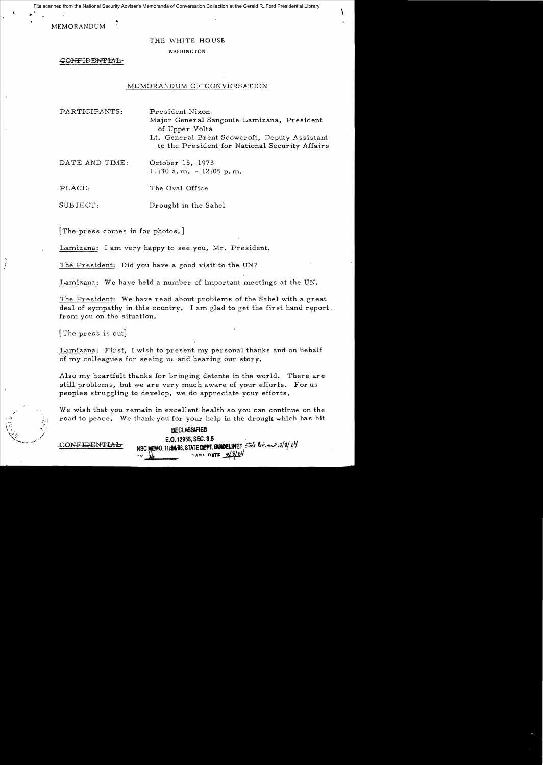File scanned from the National Security Adviser's Memoranda of Conversation Collection at the Gerald R. Ford Presidential Library

**MEMORANDUM** 

#### THE WHITE HOUSE

WASHINGTON

-GONFIBEN"fIAb

### MEMORANDUM OF CONVERSATION

 $\setminus$ 

PARTICIPANTS: President Nixon Major General Sangoule Lamizana, President of Upper Volta Lt. General Brent Scowcroft, Deputy Assistant to the President for National Security Affairs

DATE AND TIME: October 15, 1973 11:30 a. m. - 12:05 p. m.

PLACE: The Oval Office

SUBJECT: Drought in the Sahel

[The press comes in for photos.]

Lamizana: I am very happy to see you, Mr. President.

The President: Did you have a good visit to the UN?

Lamizana: We have held a number of important meetings at the UN.

The President: We have read about problems of the Sahel with a great deal of sympathy in this country. I am glad to get the first hand report. from you on the situation.

[The press is out]

Lamizana: First, I wish to present my personal thanks and on behalf of my colleagues for seeing us and hearing our story.

Also my heartfelt thanks for bringing detente in the world. There are still problems, but we are very much aware of your efforts. For us peoples struggling to develop, we do appreciate your efforts.

We wish that you remain in excellent health so you can continue on the road to peace. We thank you for your help in the drought which has hit

**DECLASSIFIED** . E.O. 12958. SEC. 3.S . II *LJ*  CONFIDEl'fTU.L NSC MeMO.l1l1W8.STATE~.GlatJtIE~ *:;t:;£t* t;,-.,;1.3(6, In -'V **W.** . 'IU)" **nAn::** ~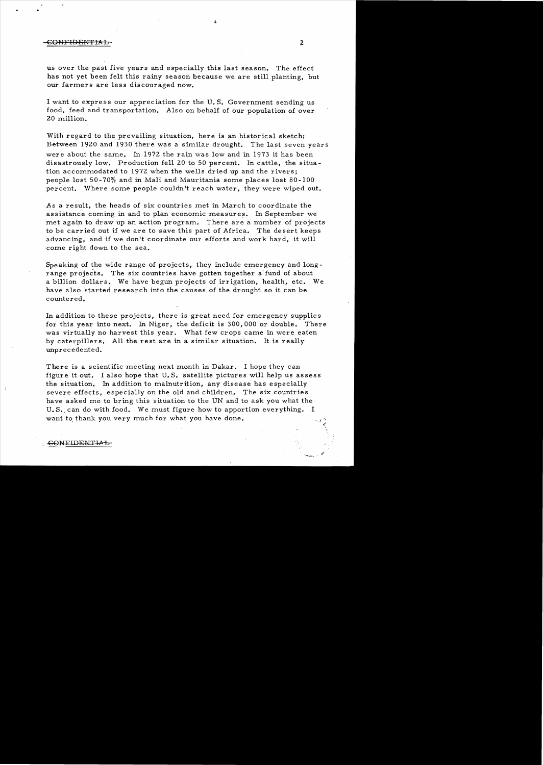### -CONFIDENTIAL 2 2 2

us over the past five years and especially this last season. The effect has not yet been felt this rainy season because we are still planting, but our farmers are less discouraged now.

I want to express our appreciation for the U. S. Government sending us food, feed and transportation. Also on behalf of our population of over 20 million.

With regard to the prevailing situation, here is an historical sketch: Between 1920 and 1930 there was a similar drought. The last seven years were about the same. In 1972 the rain was low and in 1973 it has been disastrously low. Production fell 20 to 50 percent. In cattle, the situation accommodated to 1972 when the wells dried up and the rivers; people lost 50-70% and in Mali and Mauritania some places lost 80-100 percent. Where some people couldn't reach water, they were wiped out.

A s a result, the heads of six countries met in March to coordinate the assistance coming in and to plan economic measures. In September we met again to draw up an action program. There are a number of projects to be carried out if we are to save this part of Africa. The desert keeps advancing, and if we don't coordinate our efforts and work hard, it will come right down to the sea.

Speaking of the wide range of projects, they include emergency and 10ngrange projects. The six countries have gotten together a' fund of about a billion dollars. We have begun projects of irrigation, health, etc. We have also started research into the causes of the drought so it can be countered.

In addition to these projects, there is great need for emergency supplies for this year into next. In Niger, the deficit is 300,000 or double. There was virtually no harvest this year. What few crops came in were eaten by caterpillers. All the rest are in a similar situation. It is really unprecedented.

There is a scientific meeting next month in Dakar. I hope they can figure it out. I also hope that U. S. satellite pictures will help us assess the situation. In addition to malnutrition, any disease has especially severe effects, especially on the old and children. The six countries have asked me to bring this situation to the UN and to ask you what the U.S. can do with food. We must figure how to apportion everything. I want to thank you very much for what you have done.

£

# COMEIDEMTIVP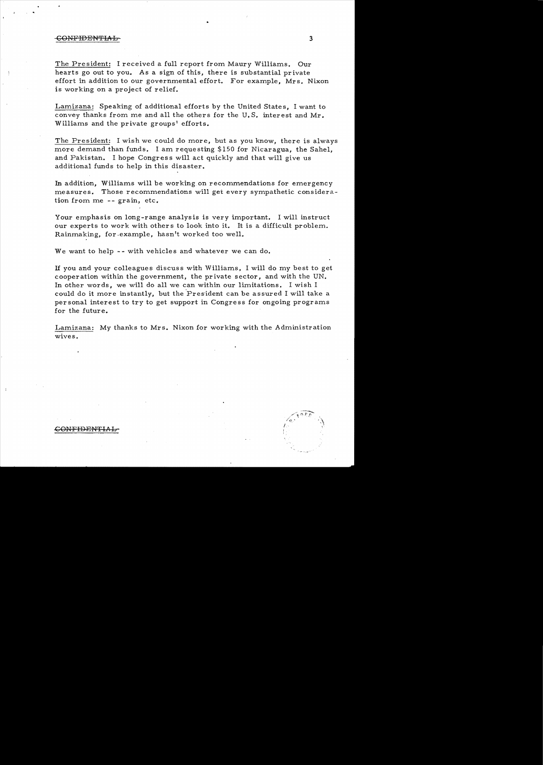#### confidential and service of the contract of the contract of the contract of the contract of the contract of the contract of the contract of the contract of the contract of the contract of the contract of the contract of th

The President: I received a full report from Maury Williams. Our hearts go out to you. As a sign of this, there is substantial private effort in addition to our governmental effort. For example, Mrs. Nixon is working on a project of relief.

Lamizana: Speaking of additional efforts by the United States, I want to convey thanks from me and all the others for the U.S. interest and Mr. Williams and the private groups' efforts.

The President: I wish we could do more, but as you know, there is always more demand than funds. I am requesting  $$150$  for Nicaragua, the Sahel, and Pakistan. I hope Congress will act quickly and that will give us additional funds to help in this disaster.

In addition, Williams will be working on recommendations for emergency measures. Those recommendations will get every sympathetic consideration from me  $-$  grain, etc.

Your emphasis on long-range analysis is very important. I will instruct our experts to work with others to look into it. It is a difficult problem. Rainmaking, for example, hasn't worked too well.

We want to help -- with vehicles and whatever we can do.

If you and your colleagues discuss with Williams, I will do my best to get cooperation within the government, the private sector, and with the UN. In other words, we will do all we can within our limitations. I wish I could do it more instantly, but the President can be assured I will take a personal interest to try to get support in Congress for ongoing programs for the future.

Lamizana: My thanks to Mrs. Nixon for working with the Administration wives.

 $\mathscr{S}$  .  $\epsilon$  and  $\epsilon$  .  $\langle \cdot, \cdot \rangle$  . A

# CONFIDENTIAL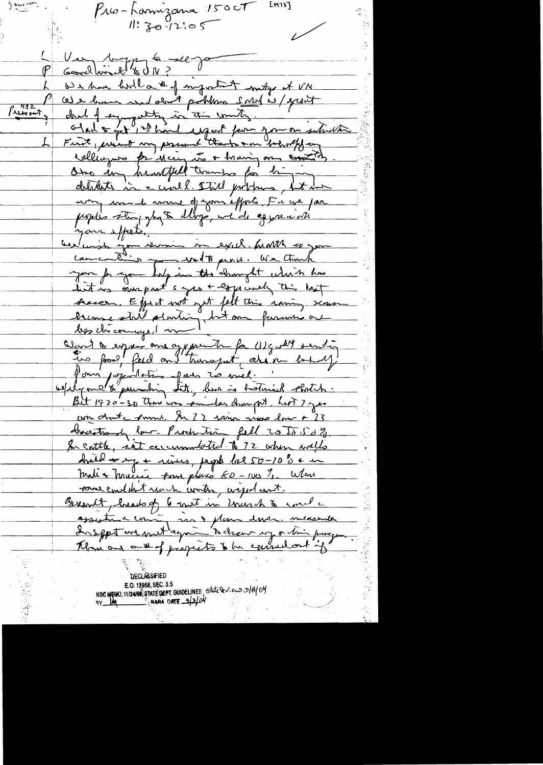$9.8048817$ Em73J Pro-Lannizana 1500T  $1!304205$ Ver 109 pm & 1090 (K We have holl a the mystimit mity of VN (a) e home would don't pohlow small is / specit <u>गउट</u> Princent chal of sympathy in this worth . I would be a former intraction First priest my present thanks on beholf an villiages privien us + marin m creation detates in carel. Still problems, but has un madament d'open éfforts la une par peoples stay gly to dlings, we do aggress with your effects. au demand de la mondiale de la mondiale you for you halp in the 'element which has but is own pret s yes + espicially this last scarce. Equit not get felt this raming scars breme stat almée int au pouvrie bez chicomique 1 m Want & expres are appointed for Ulgarant senting tro food, feed on thousant around to half Pomi / spullation of mes 20 mil. ospelyme &"premaling Lett, but is hosteried shortch. Bit 1920-30 Than was principal champed. Let ? yes un donte Anna. In 22 rain visos low + 23 bracitrady low- Production fell 20 to 50% In cattle, set accumulated to 72 when wells draid + 27 + rains, peppe la2 50-20 % + m malix marine para place 60-100 %. When come couldn't reach worth, wiged cent. Breacht, heads of 6 meet in Unarch to small assistance commi moi y plan dover measures. Inseppt and methogon to cheer up a tri process Plan and ant of property to be consultant if

**DECLASSIFIED** E.O. 12958, SEC. 3.5 NSC MEMO, 11/24190; STATE DEPT. GUIDELINES, STATE DEV. CAN D/B/DY **MARA DATE**  $-3/3/04$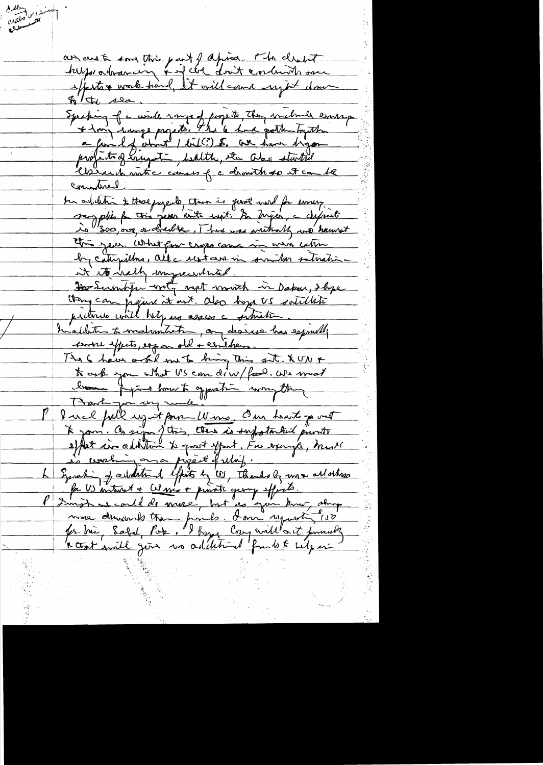dublany<br>**Milled** College au ces à son trois juiff après s'h client filthe sea Speking of a winde some of forgette, they will exame example Wind into caus of c drowth to it can be Connatived. ter arbetet ; those pageals than is good wind for emery is 1300, our or drawbe. There were writingly we have This year. What for crops came in wir when by catupillons, alle restaur in sumilar retration it its half impreventured. Dos Sumbju with most month in Daken, I bye then can jugene it ant also hope US satisfied pretire will help and assess a situation haddeth to matematication, and desires has esported course yperto, espon old + cerithens The 6 have a bil me to king this sit. XUNX \* osb you what US com diw/food, we must bonne prime home to opposite anonytte I wel full up it pare Wine, Our hearts of out \* joint Co sign j'ttein, there is suffortanted private is working on a pipeit of ulif. Symphing of additional effects by US, Thanks by my allottes fa US introst + Wine + princte george effects. more demande tran ponde. I om requesting 150 for the Salah Pok. Il have Croy avillant finnestig<br>a that smill gent no additional from to the fact